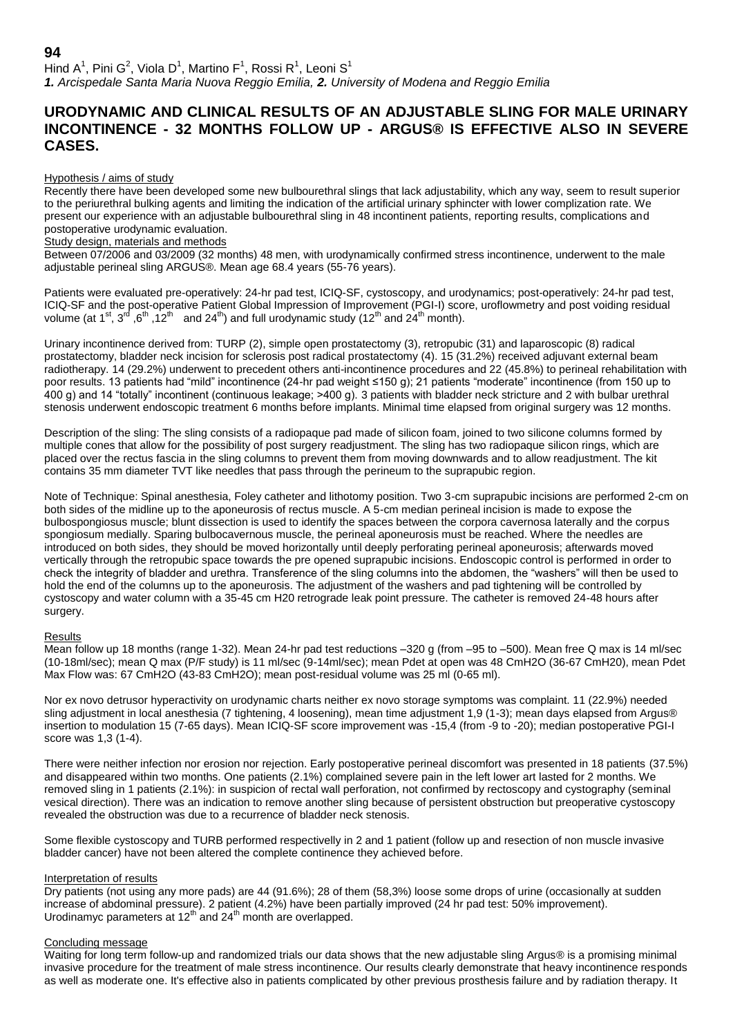Hind A<sup>1</sup>, Pini G<sup>2</sup>, Viola D<sup>1</sup>, Martino F<sup>1</sup>, Rossi R<sup>1</sup>, Leoni S<sup>1</sup> *1. Arcispedale Santa Maria Nuova Reggio Emilia, 2. University of Modena and Reggio Emilia*

# **URODYNAMIC AND CLINICAL RESULTS OF AN ADJUSTABLE SLING FOR MALE URINARY INCONTINENCE - 32 MONTHS FOLLOW UP - ARGUS® IS EFFECTIVE ALSO IN SEVERE CASES.**

### Hypothesis / aims of study

Recently there have been developed some new bulbourethral slings that lack adjustability, which any way, seem to result superior to the periurethral bulking agents and limiting the indication of the artificial urinary sphincter with lower complization rate. We present our experience with an adjustable bulbourethral sling in 48 incontinent patients, reporting results, complications and postoperative urodynamic evaluation.

## Study design, materials and methods

Between 07/2006 and 03/2009 (32 months) 48 men, with urodynamically confirmed stress incontinence, underwent to the male adjustable perineal sling ARGUS®. Mean age 68.4 years (55-76 years).

Patients were evaluated pre-operatively: 24-hr pad test, ICIQ-SF, cystoscopy, and urodynamics; post-operatively: 24-hr pad test, ICIQ-SF and the post-operative Patient Global Impression of Improvement (PGI-I) score, uroflowmetry and post voiding residual volume (at 1<sup>st</sup>, 3<sup>rd</sup> ,6<sup>th</sup> ,12<sup>th</sup> and 24<sup>th</sup>) and full urodynamic study (12<sup>th</sup> and 24<sup>th</sup> month).

Urinary incontinence derived from: TURP (2), simple open prostatectomy (3), retropubic (31) and laparoscopic (8) radical prostatectomy, bladder neck incision for sclerosis post radical prostatectomy (4). 15 (31.2%) received adjuvant external beam radiotherapy. 14 (29.2%) underwent to precedent others anti-incontinence procedures and 22 (45.8%) to perineal rehabilitation with poor results. 13 patients had "mild" incontinence (24-hr pad weight ≤150 g); 21 patients "moderate" incontinence (from 150 up to 400 g) and 14 "totally" incontinent (continuous leakage; >400 g). 3 patients with bladder neck stricture and 2 with bulbar urethral stenosis underwent endoscopic treatment 6 months before implants. Minimal time elapsed from original surgery was 12 months.

Description of the sling: The sling consists of a radiopaque pad made of silicon foam, joined to two silicone columns formed by multiple cones that allow for the possibility of post surgery readjustment. The sling has two radiopaque silicon rings, which are placed over the rectus fascia in the sling columns to prevent them from moving downwards and to allow readjustment. The kit contains 35 mm diameter TVT like needles that pass through the perineum to the suprapubic region.

Note of Technique: Spinal anesthesia, Foley catheter and lithotomy position. Two 3-cm suprapubic incisions are performed 2-cm on both sides of the midline up to the aponeurosis of rectus muscle. A 5-cm median perineal incision is made to expose the bulbospongiosus muscle; blunt dissection is used to identify the spaces between the corpora cavernosa laterally and the corpus spongiosum medially. Sparing bulbocavernous muscle, the perineal aponeurosis must be reached. Where the needles are introduced on both sides, they should be moved horizontally until deeply perforating perineal aponeurosis; afterwards moved vertically through the retropubic space towards the pre opened suprapubic incisions. Endoscopic control is performed in order to check the integrity of bladder and urethra. Transference of the sling columns into the abdomen, the "washers" will then be used to hold the end of the columns up to the aponeurosis. The adjustment of the washers and pad tightening will be controlled by cystoscopy and water column with a 35-45 cm H20 retrograde leak point pressure. The catheter is removed 24-48 hours after surgery.

### **Results**

Mean follow up 18 months (range 1-32). Mean 24-hr pad test reductions –320 g (from –95 to –500). Mean free Q max is 14 ml/sec (10-18ml/sec); mean Q max (P/F study) is 11 ml/sec (9-14ml/sec); mean Pdet at open was 48 CmH2O (36-67 CmH20), mean Pdet Max Flow was: 67 CmH2O (43-83 CmH2O); mean post-residual volume was 25 ml (0-65 ml).

Nor ex novo detrusor hyperactivity on urodynamic charts neither ex novo storage symptoms was complaint. 11 (22.9%) needed sling adjustment in local anesthesia (7 tightening, 4 loosening), mean time adjustment 1,9 (1-3); mean days elapsed from Argus® insertion to modulation 15 (7-65 days). Mean ICIQ-SF score improvement was -15,4 (from -9 to -20); median postoperative PGI-I score was 1,3 (1-4).

There were neither infection nor erosion nor rejection. Early postoperative perineal discomfort was presented in 18 patients (37.5%) and disappeared within two months. One patients (2.1%) complained severe pain in the left lower art lasted for 2 months. We removed sling in 1 patients (2.1%): in suspicion of rectal wall perforation, not confirmed by rectoscopy and cystography (seminal vesical direction). There was an indication to remove another sling because of persistent obstruction but preoperative cystoscopy revealed the obstruction was due to a recurrence of bladder neck stenosis.

Some flexible cystoscopy and TURB performed respectivelly in 2 and 1 patient (follow up and resection of non muscle invasive bladder cancer) have not been altered the complete continence they achieved before.

### Interpretation of results

Dry patients (not using any more pads) are 44 (91.6%); 28 of them (58,3%) loose some drops of urine (occasionally at sudden increase of abdominal pressure). 2 patient (4.2%) have been partially improved (24 hr pad test: 50% improvement). Urodinamyc parameters at  $12<sup>th</sup>$  and  $24<sup>th</sup>$  month are overlapped.

### Concluding message

Waiting for long term follow-up and randomized trials our data shows that the new adjustable sling Argus® is a promising minimal invasive procedure for the treatment of male stress incontinence. Our results clearly demonstrate that heavy incontinence responds as well as moderate one. It's effective also in patients complicated by other previous prosthesis failure and by radiation therapy. It